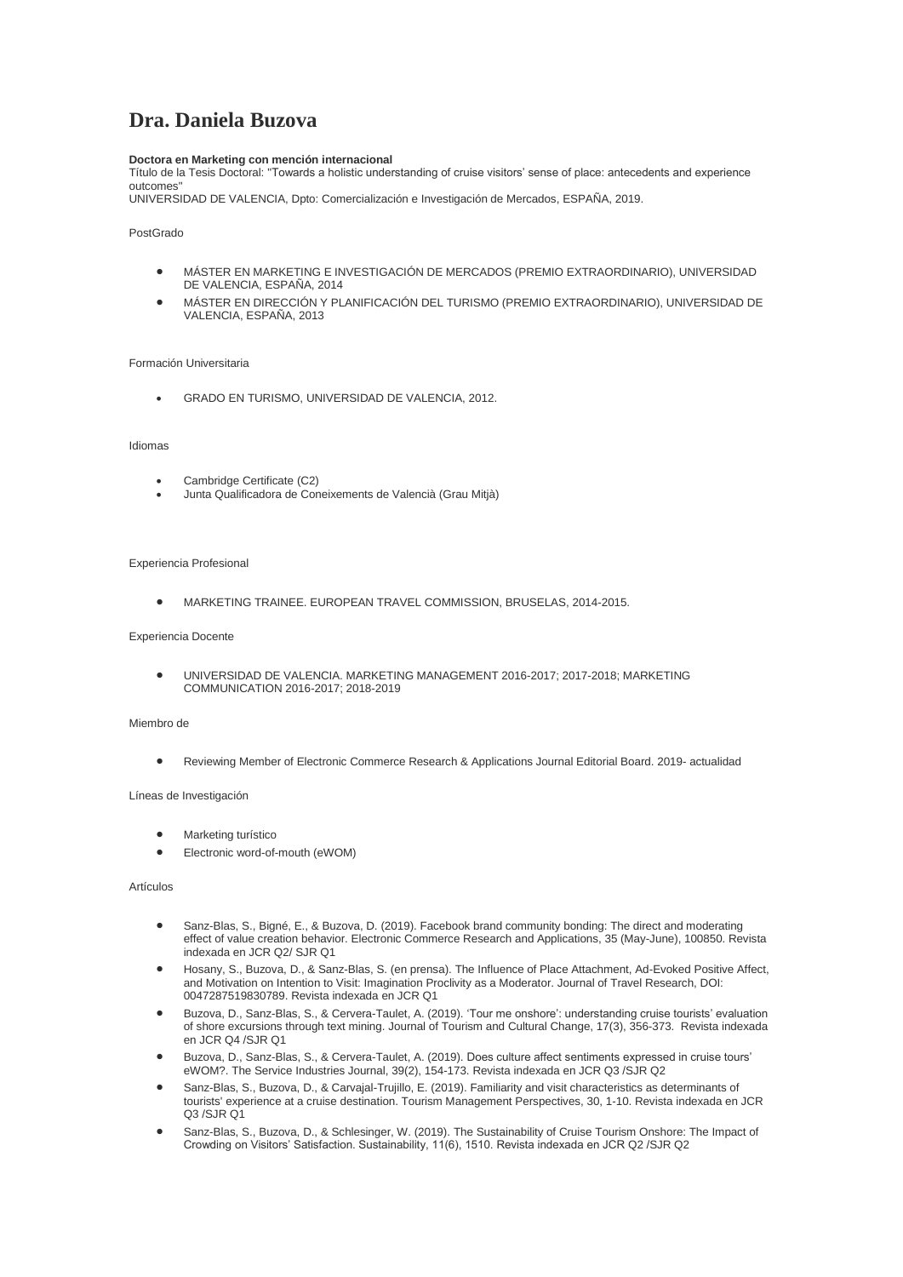# **Dra. Daniela Buzova**

## **Doctora en Marketing con mención internacional**

Título de la Tesis Doctoral: "Towards a holistic understanding of cruise visitors' sense of place: antecedents and experience outcomes"

UNIVERSIDAD DE VALENCIA, Dpto: Comercialización e Investigación de Mercados, ESPAÑA, 2019.

## PostGrado

- MÁSTER EN MARKETING E INVESTIGACIÓN DE MERCADOS (PREMIO EXTRAORDINARIO), UNIVERSIDAD DE VALENCIA, ESPAÑA, 2014
- MÁSTER EN DIRECCIÓN Y PLANIFICACIÓN DEL TURISMO (PREMIO EXTRAORDINARIO), UNIVERSIDAD DE VALENCIA, ESPAÑA, 2013

# Formación Universitaria

GRADO EN TURISMO, UNIVERSIDAD DE VALENCIA, 2012.

#### Idiomas

- Cambridge Certificate (C2)
- Junta Qualificadora de Coneixements de Valencià (Grau Mitjà)

#### Experiencia Profesional

MARKETING TRAINEE. EUROPEAN TRAVEL COMMISSION, BRUSELAS, 2014-2015.

#### Experiencia Docente

 UNIVERSIDAD DE VALENCIA. MARKETING MANAGEMENT 2016-2017; 2017-2018; MARKETING COMMUNICATION 2016-2017; 2018-2019

#### Miembro de

Reviewing Member of Electronic Commerce Research & Applications Journal Editorial Board. 2019- actualidad

#### Líneas de Investigación

- Marketing turístico
- Electronic word-of-mouth (eWOM)

### Artículos

- Sanz-Blas, S., Bigné, E., & Buzova, D. (2019). Facebook brand community bonding: The direct and moderating effect of value creation behavior. Electronic Commerce Research and Applications, 35 (May-June), 100850. Revista indexada en JCR Q2/ SJR Q1
- Hosany, S., Buzova, D., & Sanz-Blas, S. (en prensa). The Influence of Place Attachment, Ad-Evoked Positive Affect, and Motivation on Intention to Visit: Imagination Proclivity as a Moderator. Journal of Travel Research, DOI: 0047287519830789. Revista indexada en JCR Q1
- Buzova, D., Sanz-Blas, S., & Cervera-Taulet, A. (2019). 'Tour me onshore': understanding cruise tourists' evaluation of shore excursions through text mining. Journal of Tourism and Cultural Change, 17(3), 356-373. Revista indexada en JCR Q4 /SJR Q1
- Buzova, D., Sanz-Blas, S., & Cervera-Taulet, A. (2019). Does culture affect sentiments expressed in cruise tours' eWOM?. The Service Industries Journal, 39(2), 154-173. Revista indexada en JCR Q3 /SJR Q2
- Sanz-Blas, S., Buzova, D., & Carvajal-Trujillo, E. (2019). Familiarity and visit characteristics as determinants of tourists' experience at a cruise destination. Tourism Management Perspectives, 30, 1-10. Revista indexada en JCR Q3 /SJR Q1
- Sanz-Blas, S., Buzova, D., & Schlesinger, W. (2019). The Sustainability of Cruise Tourism Onshore: The Impact of Crowding on Visitors' Satisfaction. Sustainability, 11(6), 1510. Revista indexada en JCR Q2 /SJR Q2